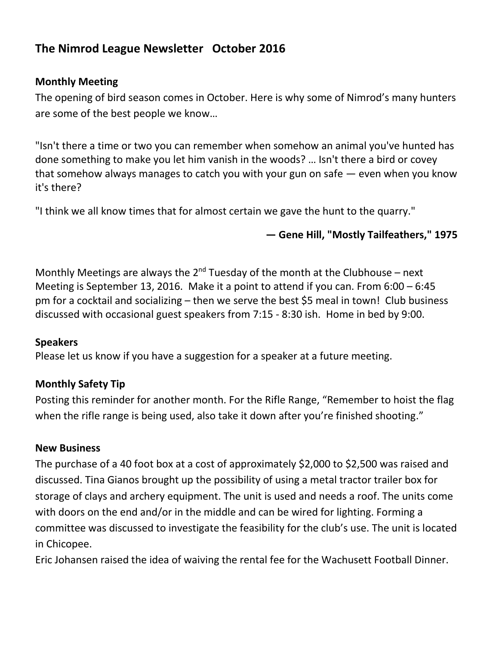# **The Nimrod League Newsletter October 2016**

## **Monthly Meeting**

The opening of bird season comes in October. Here is why some of Nimrod's many hunters are some of the best people we know…

"Isn't there a time or two you can remember when somehow an animal you've hunted has done something to make you let him vanish in the woods? … Isn't there a bird or covey that somehow always manages to catch you with your gun on safe — even when you know it's there?

"I think we all know times that for almost certain we gave the hunt to the quarry."

**— Gene Hill, "Mostly Tailfeathers," 1975**

Monthly Meetings are always the  $2^{nd}$  Tuesday of the month at the Clubhouse – next Meeting is September 13, 2016. Make it a point to attend if you can. From 6:00 – 6:45 pm for a cocktail and socializing – then we serve the best \$5 meal in town! Club business discussed with occasional guest speakers from 7:15 - 8:30 ish. Home in bed by 9:00.

#### **Speakers**

Please let us know if you have a suggestion for a speaker at a future meeting.

## **Monthly Safety Tip**

Posting this reminder for another month. For the Rifle Range, "Remember to hoist the flag when the rifle range is being used, also take it down after you're finished shooting."

#### **New Business**

The purchase of a 40 foot box at a cost of approximately \$2,000 to \$2,500 was raised and discussed. Tina Gianos brought up the possibility of using a metal tractor trailer box for storage of clays and archery equipment. The unit is used and needs a roof. The units come with doors on the end and/or in the middle and can be wired for lighting. Forming a committee was discussed to investigate the feasibility for the club's use. The unit is located in Chicopee.

Eric Johansen raised the idea of waiving the rental fee for the Wachusett Football Dinner.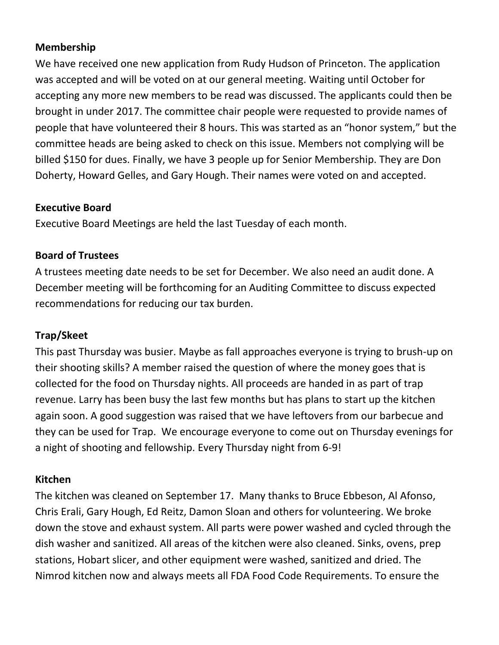#### **Membership**

We have received one new application from Rudy Hudson of Princeton. The application was accepted and will be voted on at our general meeting. Waiting until October for accepting any more new members to be read was discussed. The applicants could then be brought in under 2017. The committee chair people were requested to provide names of people that have volunteered their 8 hours. This was started as an "honor system," but the committee heads are being asked to check on this issue. Members not complying will be billed \$150 for dues. Finally, we have 3 people up for Senior Membership. They are Don Doherty, Howard Gelles, and Gary Hough. Their names were voted on and accepted.

## **Executive Board**

Executive Board Meetings are held the last Tuesday of each month.

## **Board of Trustees**

A trustees meeting date needs to be set for December. We also need an audit done. A December meeting will be forthcoming for an Auditing Committee to discuss expected recommendations for reducing our tax burden.

## **Trap/Skeet**

This past Thursday was busier. Maybe as fall approaches everyone is trying to brush-up on their shooting skills? A member raised the question of where the money goes that is collected for the food on Thursday nights. All proceeds are handed in as part of trap revenue. Larry has been busy the last few months but has plans to start up the kitchen again soon. A good suggestion was raised that we have leftovers from our barbecue and they can be used for Trap. We encourage everyone to come out on Thursday evenings for a night of shooting and fellowship. Every Thursday night from 6-9!

## **Kitchen**

The kitchen was cleaned on September 17. Many thanks to Bruce Ebbeson, Al Afonso, Chris Erali, Gary Hough, Ed Reitz, Damon Sloan and others for volunteering. We broke down the stove and exhaust system. All parts were power washed and cycled through the dish washer and sanitized. All areas of the kitchen were also cleaned. Sinks, ovens, prep stations, Hobart slicer, and other equipment were washed, sanitized and dried. The Nimrod kitchen now and always meets all FDA Food Code Requirements. To ensure the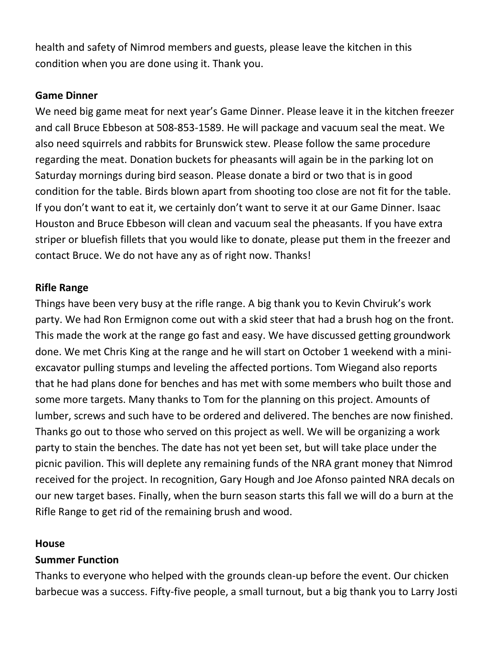health and safety of Nimrod members and guests, please leave the kitchen in this condition when you are done using it. Thank you.

## **Game Dinner**

We need big game meat for next year's Game Dinner. Please leave it in the kitchen freezer and call Bruce Ebbeson at 508-853-1589. He will package and vacuum seal the meat. We also need squirrels and rabbits for Brunswick stew. Please follow the same procedure regarding the meat. Donation buckets for pheasants will again be in the parking lot on Saturday mornings during bird season. Please donate a bird or two that is in good condition for the table. Birds blown apart from shooting too close are not fit for the table. If you don't want to eat it, we certainly don't want to serve it at our Game Dinner. Isaac Houston and Bruce Ebbeson will clean and vacuum seal the pheasants. If you have extra striper or bluefish fillets that you would like to donate, please put them in the freezer and contact Bruce. We do not have any as of right now. Thanks!

## **Rifle Range**

Things have been very busy at the rifle range. A big thank you to Kevin Chviruk's work party. We had Ron Ermignon come out with a skid steer that had a brush hog on the front. This made the work at the range go fast and easy. We have discussed getting groundwork done. We met Chris King at the range and he will start on October 1 weekend with a miniexcavator pulling stumps and leveling the affected portions. Tom Wiegand also reports that he had plans done for benches and has met with some members who built those and some more targets. Many thanks to Tom for the planning on this project. Amounts of lumber, screws and such have to be ordered and delivered. The benches are now finished. Thanks go out to those who served on this project as well. We will be organizing a work party to stain the benches. The date has not yet been set, but will take place under the picnic pavilion. This will deplete any remaining funds of the NRA grant money that Nimrod received for the project. In recognition, Gary Hough and Joe Afonso painted NRA decals on our new target bases. Finally, when the burn season starts this fall we will do a burn at the Rifle Range to get rid of the remaining brush and wood.

#### **House**

## **Summer Function**

Thanks to everyone who helped with the grounds clean-up before the event. Our chicken barbecue was a success. Fifty-five people, a small turnout, but a big thank you to Larry Josti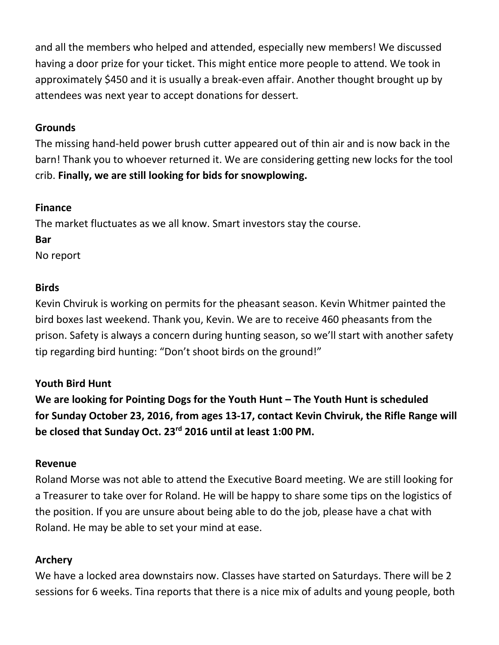and all the members who helped and attended, especially new members! We discussed having a door prize for your ticket. This might entice more people to attend. We took in approximately \$450 and it is usually a break-even affair. Another thought brought up by attendees was next year to accept donations for dessert.

## **Grounds**

The missing hand-held power brush cutter appeared out of thin air and is now back in the barn! Thank you to whoever returned it. We are considering getting new locks for the tool crib. **Finally, we are still looking for bids for snowplowing.**

#### **Finance**

The market fluctuates as we all know. Smart investors stay the course.

**Bar**

No report

#### **Birds**

Kevin Chviruk is working on permits for the pheasant season. Kevin Whitmer painted the bird boxes last weekend. Thank you, Kevin. We are to receive 460 pheasants from the prison. Safety is always a concern during hunting season, so we'll start with another safety tip regarding bird hunting: "Don't shoot birds on the ground!"

## **Youth Bird Hunt**

**We are looking for Pointing Dogs for the Youth Hunt – The Youth Hunt is scheduled for Sunday October 23, 2016, from ages 13-17, contact Kevin Chviruk, the Rifle Range will be closed that Sunday Oct. 23rd 2016 until at least 1:00 PM.**

#### **Revenue**

Roland Morse was not able to attend the Executive Board meeting. We are still looking for a Treasurer to take over for Roland. He will be happy to share some tips on the logistics of the position. If you are unsure about being able to do the job, please have a chat with Roland. He may be able to set your mind at ease.

## **Archery**

We have a locked area downstairs now. Classes have started on Saturdays. There will be 2 sessions for 6 weeks. Tina reports that there is a nice mix of adults and young people, both